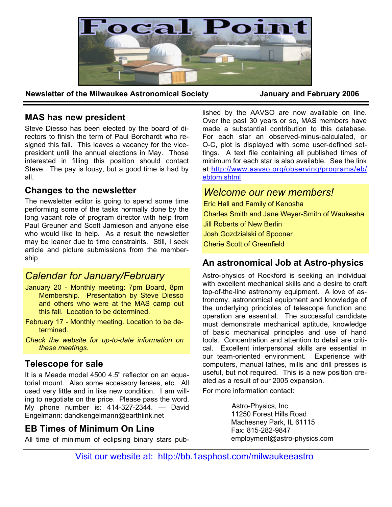

**Newsletter of the Milwaukee Astronomical Society January and February 2006** 

## **MAS has new president**

Steve Diesso has been elected by the board of directors to finish the term of Paul Borchardt who resigned this fall. This leaves a vacancy for the vicepresident until the annual elections in May. Those interested in filling this position should contact Steve. The pay is lousy, but a good time is had by all.

## **Changes to the newsletter**

The newsletter editor is going to spend some time performing some of the tasks normally done by the long vacant role of program director with help from Paul Greuner and Scott Jamieson and anyone else who would like to help. As a result the newsletter may be leaner due to time constraints. Still, I seek article and picture submissions from the membership

# *Calendar for January/February*

- January 20 Monthly meeting: 7pm Board, 8pm Membership. Presentation by Steve Diesso and others who were at the MAS camp out this fall. Location to be determined.
- February 17 Monthly meeting. Location to be determined.
- *Check the website for up-to-date information on these meetings.*

# **Telescope for sale**

It is a Meade model 4500 4.5" reflector on an equatorial mount. Also some accessory lenses, etc. All used very little and in like new condition. I am willing to negotiate on the price. Please pass the word. My phone number is: 414-327-2344. — David Engelmann: dandkengelmann@earthlink.net

# **EB Times of Minimum On Line**

All time of minimum of eclipsing binary stars pub-

lished by the AAVSO are now available on line. Over the past 30 years or so, MAS members have made a substantial contribution to this database. For each star an observed-minus-calculated, or O-C, plot is displayed with some user-defined settings. A text file containing all published times of minimum for each star is also available. See the link at:http://www.aavso.org/observing/programs/eb/ ebtom.shtml

# *Welcome our new members!*

Eric Hall and Family of Kenosha Charles Smith and Jane Weyer-Smith of Waukesha Jill Roberts of New Berlin Josh Gozdzialski of Spooner Cherie Scott of Greenfield

# **An astronomical Job at Astro-physics**

Astro-physics of Rockford is seeking an individual with excellent mechanical skills and a desire to craft top-of-the-line astronomy equipment. A love of astronomy, astronomical equipment and knowledge of the underlying principles of telescope function and operation are essential. The successful candidate must demonstrate mechanical aptitude, knowledge of basic mechanical principles and use of hand tools. Concentration and attention to detail are critical. Excellent interpersonal skills are essential in our team-oriented environment. Experience with computers, manual lathes, mills and drill presses is useful, but not required. This is a new position created as a result of our 2005 expansion.

For more information contact:

Astro-Physics, Inc 11250 Forest Hills Road Machesney Park, IL 61115 Fax: 815-282-9847 employment@astro-physics.com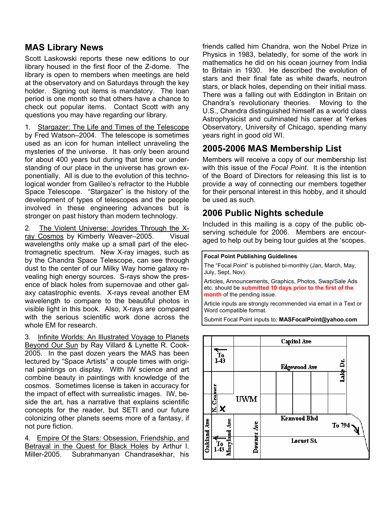# **MAS Library News**

Scott Laskowski reports these new editions to our library housed in the first floor of the Z-dome. The library is open to members when meetings are held at the observatory and on Saturdays through the key holder. Signing out items is mandatory. The loan period is one month so that others have a chance to check out popular items. Contact Scott with any questions you may have regarding our library.

1. Stargazer: The Life and Times of the Telescope by Fred Watson–2004. The telescope is sometimes used as an icon for human intellect unraveling the mysteries of the universe. It has only been around for about 400 years but during that time our understanding of our place in the universe has grown exponentially. All is due to the evolution of this technological wonder from Galileo's refractor to the Hubble Space Telescope. "Stargazer" is the history of the development of types of telescopes and the people involved in these engineering advances but is stronger on past history than modern technology.

2. The Violent Universe: Joyrides Through the Xray Cosmos by Kimberly Weaver–2005. Visual wavelengths only make up a small part of the electromagnetic spectrum. New X-ray images, such as by the Chandra Space Telescope, can see through dust to the center of our Milky Way home galaxy revealing high energy sources. S-rays show the presence of black holes from supernovae and other galaxy catastrophic events. X-rays reveal another EM wavelength to compare to the beautiful photos in visible light in this book. Also, X-rays are compared with the serious scientific work done across the whole EM for research.

3. Infinite Worlds: An Illustrated Voyage to Planets Beyond Our Sun by Ray Villard & Lynette R. Cook-2005. In the past dozen years the MAS has been lectured by "Space Artists" a couple times with original paintings on display. With IW science and art combine beauty in paintings with knowledge of the cosmos. Sometimes license is taken in accuracy for the impact of effect with surrealistic images. IW, beside the art, has a narrative that explains scientific concepts for the reader, but SETI and our future colonizing other planets seems more of a fantasy, if not pure fiction.

4. Empire Of the Stars: Obsession, Friendship, and Betrayal in the Quest for Black Holes by Arthur I. Miller-2005. Subrahmanyan Chandrasekhar, his friends called him Chandra, won the Nobel Prize in Physics in 1983, belatedly, for some of the work in mathematics he did on his ocean journey from India to Britain in 1930. He described the evolution of stars and their final fate as white dwarfs, neutron stars, or black holes, depending on their initial mass. There was a falling out with Eddington in Britain on Chandra's revolutionary theories. Moving to the U.S., Chandra distinguished himself as a world class Astrophysicist and culminated his career at Yerkes Observatory, University of Chicago, spending many years right in good old WI.

## **2005-2006 MAS Membership List**

Members will receive a copy of our membership list with this issue of the *Focal Point*. It is the intention of the Board of Directors for releasing this list is to provide a way of connecting our members together for their personal interest in this hobby, and it should be used as such.

## **2006 Public Nights schedule**

Included in this mailing is a copy of the public observing schedule for 2006. Members are encouraged to help out by being tour guides at the 'scopes.

#### **Focal Point Publishing Guidelines**

The "Focal Point" is published bi-monthly (Jan, March, May, July, Sept, Nov).

Articles, Announcements, Graphics, Photos, Swap/Sale Ads etc. should be **submitted 10 days prior to the first of the month** of the pending issue.

Article inputs are strongly recommended via email in a Text or Word compatible format.

Submit Focal Point inputs to: **MASFocalPoint@yahoo.com**